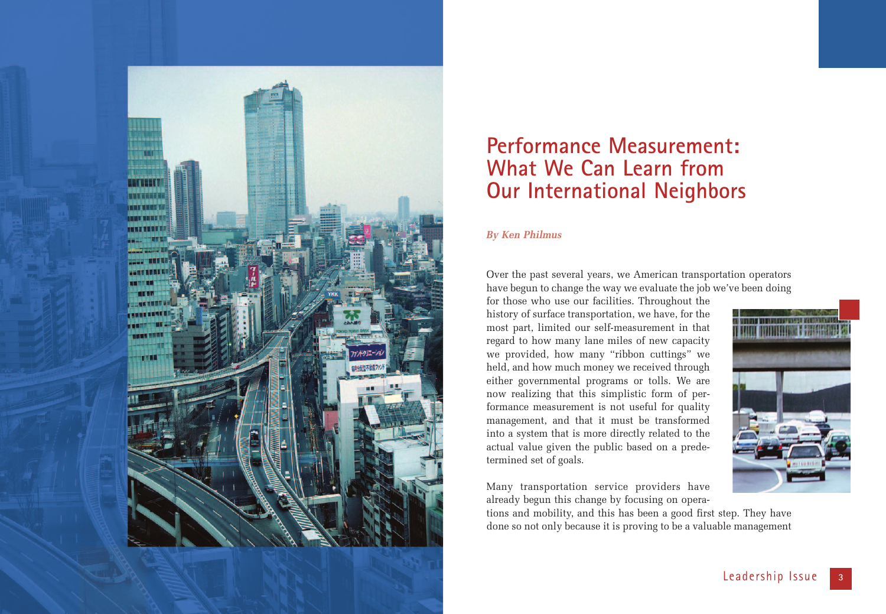

# **Performance Measurement: What We Can Learn from Our International Neighbors**

#### *By Ken Philmus*

Over the past several years, we American transportation operators have begun to change the way we evaluate the job we've been doing

for those who use our facilities. Throughout the history of surface transportation, we have, for the most part, limited our self-measurement in that regard to how many lane miles of new capacity we provided, how many "ribbon cuttings" we held, and how much money we received through either governmental programs or tolls. We are now realizing that this simplistic form of performance measurement is not useful for quality management, and that it must be transformed into a system that is more directly related to the actual value given the public based on a predetermined set of goals.

Many transportation service providers have already begun this change by focusing on opera-

tions and mobility, and this has been a good first step. They have done so not only because it is proving to be a valuable management

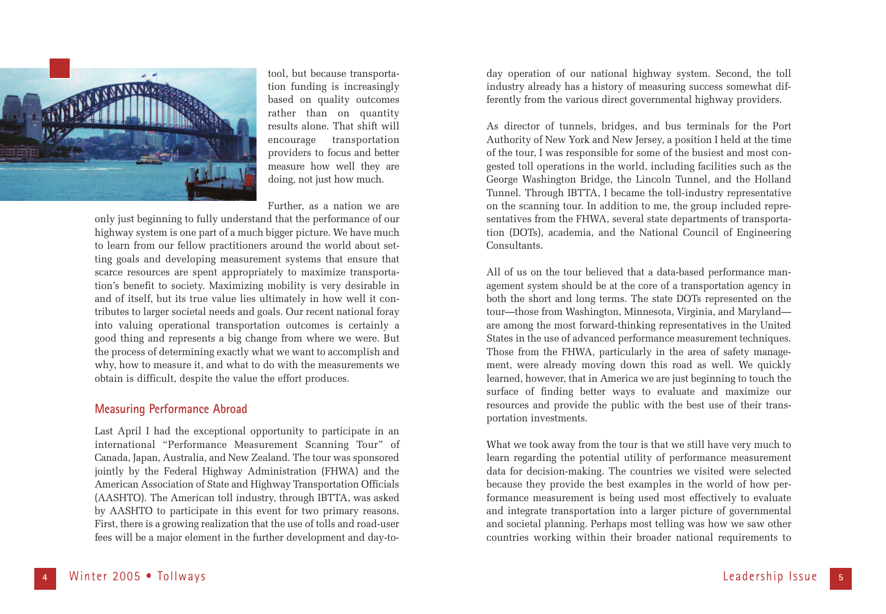

tool, but because transportation funding is increasingly based on quality outcomes rather than on quantity results alone. That shift will encourage transportation providers to focus and better measure how well they are doing, not just how much.

Further, as a nation we are

only just beginning to fully understand that the performance of our highway system is one part of a much bigger picture. We have much to learn from our fellow practitioners around the world about setting goals and developing measurement systems that ensure that scarce resources are spent appropriately to maximize transportation's benefit to society. Maximizing mobility is very desirable in and of itself, but its true value lies ultimately in how well it contributes to larger societal needs and goals. Our recent national foray into valuing operational transportation outcomes is certainly a good thing and represents a big change from where we were. But the process of determining exactly what we want to accomplish and why, how to measure it, and what to do with the measurements we obtain is difficult, despite the value the effort produces.

#### **Measuring Performance Abroad**

Last April I had the exceptional opportunity to participate in an international "Performance Measurement Scanning Tour" of Canada, Japan, Australia, and New Zealand. The tour was sponsored jointly by the Federal Highway Administration (FHWA) and the American Association of State and Highway Transportation Officials (AASHTO). The American toll industry, through IBTTA, was asked by AASHTO to participate in this event for two primary reasons. First, there is a growing realization that the use of tolls and road-user fees will be a major element in the further development and day-to-

day operation of our national highway system. Second, the toll industry already has a history of measuring success somewhat differently from the various direct governmental highway providers.

As director of tunnels, bridges, and bus terminals for the Port Authority of New York and New Jersey, a position I held at the time of the tour, I was responsible for some of the busiest and most congested toll operations in the world, including facilities such as the George Washington Bridge, the Lincoln Tunnel, and the Holland Tunnel. Through IBTTA, I became the toll-industry representative on the scanning tour. In addition to me, the group included representatives from the FHWA, several state departments of transportation (DOTs), academia, and the National Council of Engineering Consultants.

All of us on the tour believed that a data-based performance management system should be at the core of a transportation agency in both the short and long terms. The state DOTs represented on the tour—those from Washington, Minnesota, Virginia, and Maryland are among the most forward-thinking representatives in the United States in the use of advanced performance measurement techniques. Those from the FHWA, particularly in the area of safety management, were already moving down this road as well. We quickly learned, however, that in America we are just beginning to touch the surface of finding better ways to evaluate and maximize our resources and provide the public with the best use of their transportation investments.

What we took away from the tour is that we still have very much to learn regarding the potential utility of performance measurement data for decision-making. The countries we visited were selected because they provide the best examples in the world of how performance measurement is being used most effectively to evaluate and integrate transportation into a larger picture of governmental and societal planning. Perhaps most telling was how we saw other countries working within their broader national requirements to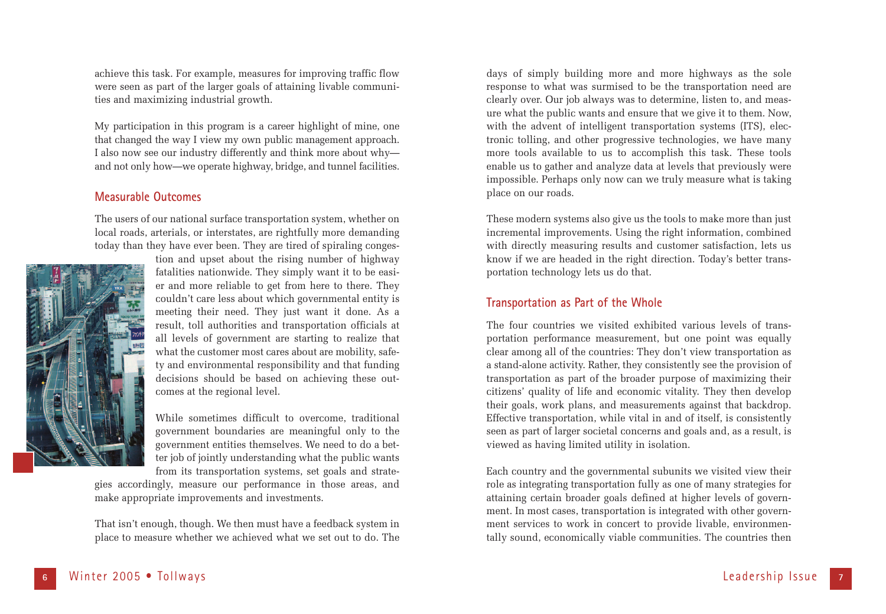achieve this task. For example, measures for improving traffic flow were seen as part of the larger goals of attaining livable communities and maximizing industrial growth.

My participation in this program is a career highlight of mine, one that changed the way I view my own public management approach. I also now see our industry differently and think more about why and not only how—we operate highway, bridge, and tunnel facilities.

#### **Measurable Outcomes**

The users of our national surface transportation system, whether on local roads, arterials, or interstates, are rightfully more demanding today than they have ever been. They are tired of spiraling conges-



tion and upset about the rising number of highway fatalities nationwide. They simply want it to be easier and more reliable to get from here to there. They couldn't care less about which governmental entity is meeting their need. They just want it done. As a result, toll authorities and transportation officials at all levels of government are starting to realize that what the customer most cares about are mobility, safety and environmental responsibility and that funding decisions should be based on achieving these outcomes at the regional level.

While sometimes difficult to overcome, traditional government boundaries are meaningful only to the government entities themselves. We need to do a better job of jointly understanding what the public wants from its transportation systems, set goals and strate-

gies accordingly, measure our performance in those areas, and make appropriate improvements and investments.

That isn't enough, though. We then must have a feedback system in place to measure whether we achieved what we set out to do. The

days of simply building more and more highways as the sole response to what was surmised to be the transportation need are clearly over. Our job always was to determine, listen to, and measure what the public wants and ensure that we give it to them. Now, with the advent of intelligent transportation systems (ITS), electronic tolling, and other progressive technologies, we have many more tools available to us to accomplish this task. These tools enable us to gather and analyze data at levels that previously were impossible. Perhaps only now can we truly measure what is taking place on our roads.

These modern systems also give us the tools to make more than just incremental improvements. Using the right information, combined with directly measuring results and customer satisfaction, lets us know if we are headed in the right direction. Today's better transportation technology lets us do that.

# **Transportation as Part of the Whole**

The four countries we visited exhibited various levels of transportation performance measurement, but one point was equally clear among all of the countries: They don't view transportation as a stand-alone activity. Rather, they consistently see the provision of transportation as part of the broader purpose of maximizing their citizens' quality of life and economic vitality. They then develop their goals, work plans, and measurements against that backdrop. Effective transportation, while vital in and of itself, is consistently seen as part of larger societal concerns and goals and, as a result, is viewed as having limited utility in isolation.

Each country and the governmental subunits we visited view their role as integrating transportation fully as one of many strategies for attaining certain broader goals defined at higher levels of government. In most cases, transportation is integrated with other government services to work in concert to provide livable, environmentally sound, economically viable communities. The countries then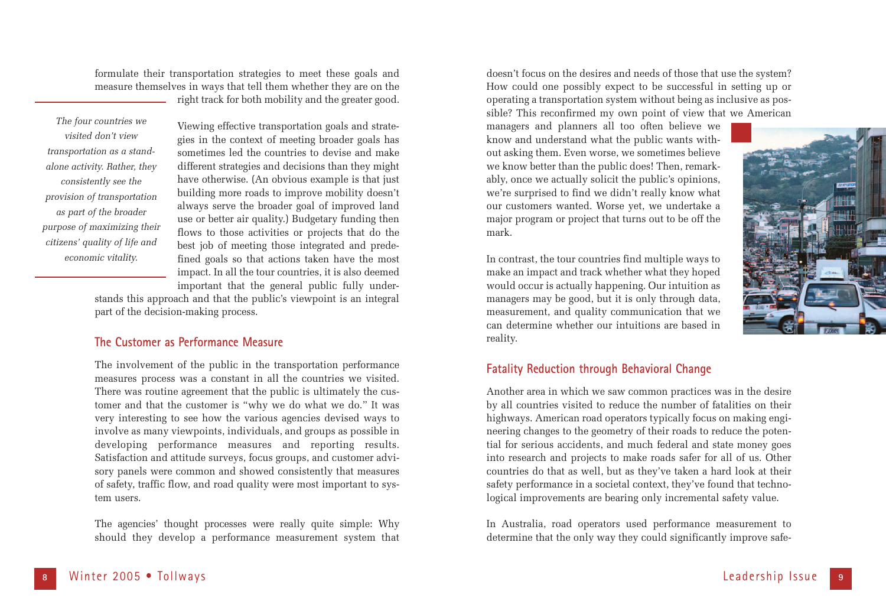formulate their transportation strategies to meet these goals and measure themselves in ways that tell them whether they are on the right track for both mobility and the greater good.

*The four countries we visited don't view transportation as a standalone activity. Rather, they consistently see the provision of transportation as part of the broader purpose of maximizing their citizens' quality of life and economic vitality.*

Viewing effective transportation goals and strategies in the context of meeting broader goals has sometimes led the countries to devise and make different strategies and decisions than they might have otherwise. (An obvious example is that just building more roads to improve mobility doesn't always serve the broader goal of improved land use or better air quality.) Budgetary funding then flows to those activities or projects that do the best job of meeting those integrated and predefined goals so that actions taken have the most impact. In all the tour countries, it is also deemed important that the general public fully under-

stands this approach and that the public's viewpoint is an integral part of the decision-making process.

# **The Customer as Performance Measure**

The involvement of the public in the transportation performance measures process was a constant in all the countries we visited. There was routine agreement that the public is ultimately the customer and that the customer is "why we do what we do." It was very interesting to see how the various agencies devised ways to involve as many viewpoints, individuals, and groups as possible in developing performance measures and reporting results. Satisfaction and attitude surveys, focus groups, and customer advisory panels were common and showed consistently that measures of safety, traffic flow, and road quality were most important to system users.

The agencies' thought processes were really quite simple: Why should they develop a performance measurement system that

doesn't focus on the desires and needs of those that use the system? How could one possibly expect to be successful in setting up or operating a transportation system without being as inclusive as possible? This reconfirmed my own point of view that we American

managers and planners all too often believe we know and understand what the public wants without asking them. Even worse, we sometimes believe we know better than the public does! Then, remarkably, once we actually solicit the public's opinions, we're surprised to find we didn't really know what our customers wanted. Worse yet, we undertake a major program or project that turns out to be off the mark.

In contrast, the tour countries find multiple ways to make an impact and track whether what they hoped would occur is actually happening. Our intuition as managers may be good, but it is only through data, measurement, and quality communication that we can determine whether our intuitions are based in reality.



## **Fatality Reduction through Behavioral Change**

Another area in which we saw common practices was in the desire by all countries visited to reduce the number of fatalities on their highways. American road operators typically focus on making engineering changes to the geometry of their roads to reduce the potential for serious accidents, and much federal and state money goes into research and projects to make roads safer for all of us. Other countries do that as well, but as they've taken a hard look at their safety performance in a societal context, they've found that technological improvements are bearing only incremental safety value.

In Australia, road operators used performance measurement to determine that the only way they could significantly improve safe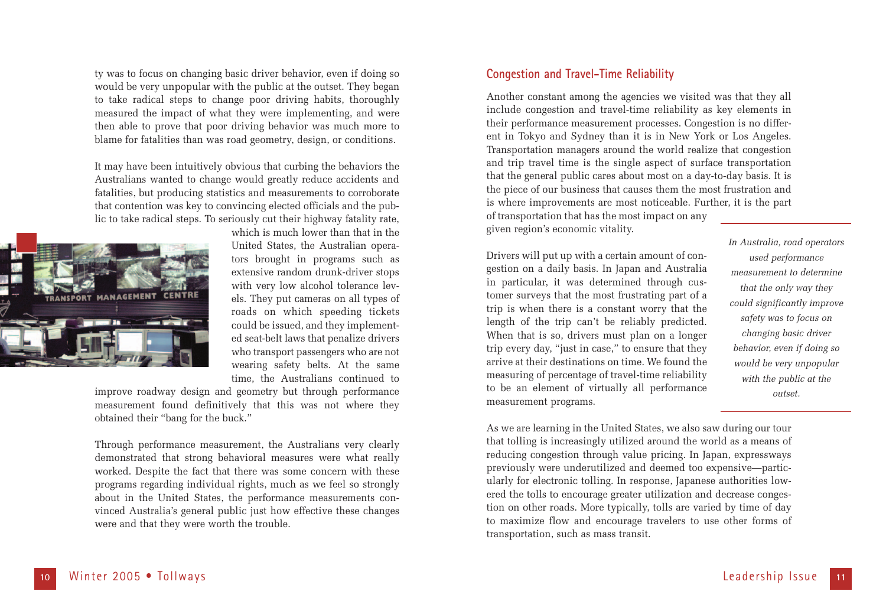ty was to focus on changing basic driver behavior, even if doing so would be very unpopular with the public at the outset. They began to take radical steps to change poor driving habits, thoroughly measured the impact of what they were implementing, and were then able to prove that poor driving behavior was much more to blame for fatalities than was road geometry, design, or conditions.

It may have been intuitively obvious that curbing the behaviors the Australians wanted to change would greatly reduce accidents and fatalities, but producing statistics and measurements to corroborate that contention was key to convincing elected officials and the public to take radical steps. To seriously cut their highway fatality rate,



which is much lower than that in the United States, the Australian operators brought in programs such as extensive random drunk-driver stops with very low alcohol tolerance levels. They put cameras on all types of roads on which speeding tickets could be issued, and they implemented seat-belt laws that penalize drivers who transport passengers who are not wearing safety belts. At the same time, the Australians continued to

improve roadway design and geometry but through performance measurement found definitively that this was not where they obtained their "bang for the buck."

Through performance measurement, the Australians very clearly demonstrated that strong behavioral measures were what really worked. Despite the fact that there was some concern with these programs regarding individual rights, much as we feel so strongly about in the United States, the performance measurements convinced Australia's general public just how effective these changes were and that they were worth the trouble.

### **Congestion and Travel-Time Reliability**

Another constant among the agencies we visited was that they all include congestion and travel-time reliability as key elements in their performance measurement processes. Congestion is no different in Tokyo and Sydney than it is in New York or Los Angeles. Transportation managers around the world realize that congestion and trip travel time is the single aspect of surface transportation that the general public cares about most on a day-to-day basis. It is the piece of our business that causes them the most frustration and is where improvements are most noticeable. Further, it is the part of transportation that has the most impact on any given region's economic vitality.

Drivers will put up with a certain amount of congestion on a daily basis. In Japan and Australia in particular, it was determined through customer surveys that the most frustrating part of a trip is when there is a constant worry that the length of the trip can't be reliably predicted. When that is so, drivers must plan on a longer trip every day, "just in case," to ensure that they arrive at their destinations on time. We found the measuring of percentage of travel-time reliability to be an element of virtually all performance measurement programs.

*In Australia, road operators used performance measurement to determine that the only way they could significantly improve safety was to focus on changing basic driver behavior, even if doing so would be very unpopular with the public at the outset.* 

As we are learning in the United States, we also saw during our tour that tolling is increasingly utilized around the world as a means of reducing congestion through value pricing. In Japan, expressways previously were underutilized and deemed too expensive—particularly for electronic tolling. In response, Japanese authorities lowered the tolls to encourage greater utilization and decrease congestion on other roads. More typically, tolls are varied by time of day to maximize flow and encourage travelers to use other forms of transportation, such as mass transit.